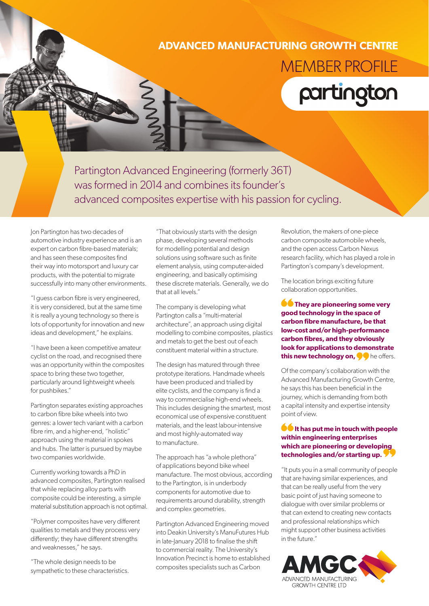## **ADVANCED MANUFACTURING GROWTH CENTRE**



Partington Advanced Engineering (formerly 36T) was formed in 2014 and combines its founder's advanced composites expertise with his passion for cycling.

Jon Partington has two decades of automotive industry experience and is an expert on carbon fibre-based materials; and has seen these composites find their way into motorsport and luxury car products, with the potential to migrate successfully into many other environments.

"I guess carbon fibre is very engineered, it is very considered, but at the same time it is really a young technology so there is lots of opportunity for innovation and new ideas and development," he explains.

"I have been a keen competitive amateur cyclist on the road, and recognised there was an opportunity within the composites space to bring these two together, particularly around lightweight wheels for pushbikes."

Partington separates existing approaches to carbon fibre bike wheels into two genres: a lower tech variant with a carbon fibre rim, and a higher-end, "holistic" approach using the material in spokes and hubs. The latter is pursued by maybe two companies worldwide.

Currently working towards a PhD in advanced composites, Partington realised that while replacing alloy parts with composite could be interesting, a simple material substitution approach is not optimal.

"Polymer composites have very different qualities to metals and they process very differently; they have different strengths and weaknesses," he says.

"The whole design needs to be sympathetic to these characteristics. "That obviously starts with the design phase, developing several methods for modelling potential and design solutions using software such as finite element analysis, using computer-aided engineering, and basically optimising these discrete materials. Generally, we do that at all levels."

The company is developing what Partington calls a "multi-material architecture", an approach using digital modelling to combine composites, plastics and metals to get the best out of each constituent material within a structure.

The design has matured through three prototype iterations. Handmade wheels have been produced and trialled by elite cyclists, and the company is find a way to commercialise high-end wheels. This includes designing the smartest, most economical use of expensive constituent materials, and the least labour-intensive and most highly-automated way to manufacture.

The approach has "a whole plethora" of applications beyond bike wheel manufacture. The most obvious, according to the Partington, is in underbody components for automotive due to requirements around durability, strength and complex geometries.

Partington Advanced Engineering moved into Deakin University's ManuFutures Hub in late-January 2018 to finalise the shift to commercial reality. The University's Innovation Precinct is home to established composites specialists such as Carbon

Revolution, the makers of one-piece carbon composite automobile wheels, and the open access Carbon Nexus research facility, which has played a role in Partington's company's development.

The location brings exciting future collaboration opportunities.

**CO** They are pioneering some very **good technology in the space of carbon fibre manufacture, be that low-cost and/or high-performance carbon fibres, and they obviously look for applications to demonstrate this new technology on,**  $\bullet\bullet$  he offers.

Of the company's collaboration with the Advanced Manufacturing Growth Centre, he says this has been beneficial in the journey, which is demanding from both a capital intensity and expertise intensity point of view.

## **It has put me in touch with people within engineering enterprises which are pioneering or developing technologies and/or starting up.**

"It puts you in a small community of people that are having similar experiences, and that can be really useful from the very basic point of just having someone to dialogue with over similar problems or that can extend to creating new contacts and professional relationships which might support other business activities in the future."